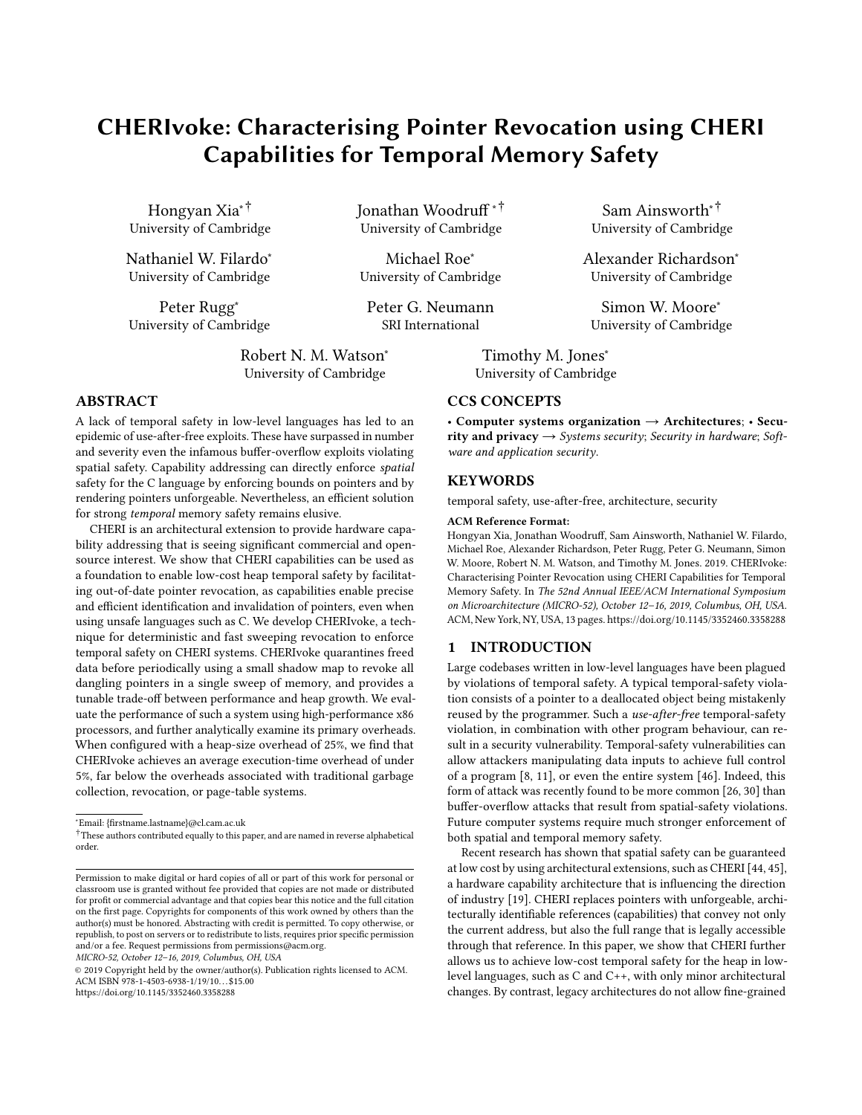# CHERIvoke: Characterising Pointer Revocation using CHERI Capabilities for Temporal Memory Safety

Hongyan Xia∗† University of Cambridge

Nathaniel W. Filardo<sup>∗</sup> University of Cambridge

Peter Rugg<sup>∗</sup> University of Cambridge Jonathan Woodruff ∗† University of Cambridge

Michael Roe<sup>∗</sup> University of Cambridge

Peter G. Neumann SRI International

Robert N. M. Watson<sup>∗</sup> University of Cambridge

# ABSTRACT

A lack of temporal safety in low-level languages has led to an epidemic of use-after-free exploits. These have surpassed in number and severity even the infamous buffer-overflow exploits violating spatial safety. Capability addressing can directly enforce spatial safety for the C language by enforcing bounds on pointers and by rendering pointers unforgeable. Nevertheless, an efficient solution for strong temporal memory safety remains elusive.

CHERI is an architectural extension to provide hardware capability addressing that is seeing significant commercial and opensource interest. We show that CHERI capabilities can be used as a foundation to enable low-cost heap temporal safety by facilitating out-of-date pointer revocation, as capabilities enable precise and efficient identification and invalidation of pointers, even when using unsafe languages such as C. We develop CHERIvoke, a technique for deterministic and fast sweeping revocation to enforce temporal safety on CHERI systems. CHERIvoke quarantines freed data before periodically using a small shadow map to revoke all dangling pointers in a single sweep of memory, and provides a tunable trade-off between performance and heap growth. We evaluate the performance of such a system using high-performance x86 processors, and further analytically examine its primary overheads. When configured with a heap-size overhead of 25%, we find that CHERIvoke achieves an average execution-time overhead of under 5%, far below the overheads associated with traditional garbage collection, revocation, or page-table systems.

MICRO-52, October 12–16, 2019, Columbus, OH, USA

Sam Ainsworth∗† University of Cambridge

Alexander Richardson<sup>∗</sup> University of Cambridge

Simon W. Moore<sup>∗</sup> University of Cambridge

Timothy M. Jones<sup>\*</sup> University of Cambridge

# CCS CONCEPTS

• Computer systems organization  $\rightarrow$  Architectures; • Security and privacy  $\rightarrow$  Systems security; Security in hardware; Software and application security.

# **KEYWORDS**

temporal safety, use-after-free, architecture, security

#### ACM Reference Format:

Hongyan Xia, Jonathan Woodruff, Sam Ainsworth, Nathaniel W. Filardo, Michael Roe, Alexander Richardson, Peter Rugg, Peter G. Neumann, Simon W. Moore, Robert N. M. Watson, and Timothy M. Jones. 2019. CHERIvoke: Characterising Pointer Revocation using CHERI Capabilities for Temporal Memory Safety. In The 52nd Annual IEEE/ACM International Symposium on Microarchitecture (MICRO-52), October 12–16, 2019, Columbus, OH, USA. ACM, New York, NY, USA, [13](#page-12-0) pages[. https://doi.org/10.1145/3352460.3358288](https://doi.org/10.1145/3352460.3358288)

# 1 INTRODUCTION

Large codebases written in low-level languages have been plagued by violations of temporal safety. A typical temporal-safety violation consists of a pointer to a deallocated object being mistakenly reused by the programmer. Such a use-after-free temporal-safety violation, in combination with other program behaviour, can result in a security vulnerability. Temporal-safety vulnerabilities can allow attackers manipulating data inputs to achieve full control of a program [\[8,](#page-12-1) [11\]](#page-12-2), or even the entire system [\[46\]](#page-12-3). Indeed, this form of attack was recently found to be more common [\[26,](#page-12-4) [30\]](#page-12-5) than buffer-overflow attacks that result from spatial-safety violations. Future computer systems require much stronger enforcement of both spatial and temporal memory safety.

Recent research has shown that spatial safety can be guaranteed at low cost by using architectural extensions, such as CHERI [\[44,](#page-12-6) [45\]](#page-12-7), a hardware capability architecture that is influencing the direction of industry [\[19\]](#page-12-8). CHERI replaces pointers with unforgeable, architecturally identifiable references (capabilities) that convey not only the current address, but also the full range that is legally accessible through that reference. In this paper, we show that CHERI further allows us to achieve low-cost temporal safety for the heap in lowlevel languages, such as C and C++, with only minor architectural changes. By contrast, legacy architectures do not allow fine-grained

<sup>∗</sup>Email: {firstname.lastname}@cl.cam.ac.uk

<sup>†</sup>These authors contributed equally to this paper, and are named in reverse alphabetical order.

Permission to make digital or hard copies of all or part of this work for personal or classroom use is granted without fee provided that copies are not made or distributed for profit or commercial advantage and that copies bear this notice and the full citation on the first page. Copyrights for components of this work owned by others than the author(s) must be honored. Abstracting with credit is permitted. To copy otherwise, or republish, to post on servers or to redistribute to lists, requires prior specific permission and/or a fee. Request permissions from permissions@acm.org.

<sup>©</sup> 2019 Copyright held by the owner/author(s). Publication rights licensed to ACM. ACM ISBN 978-1-4503-6938-1/19/10. . . \$15.00 <https://doi.org/10.1145/3352460.3358288>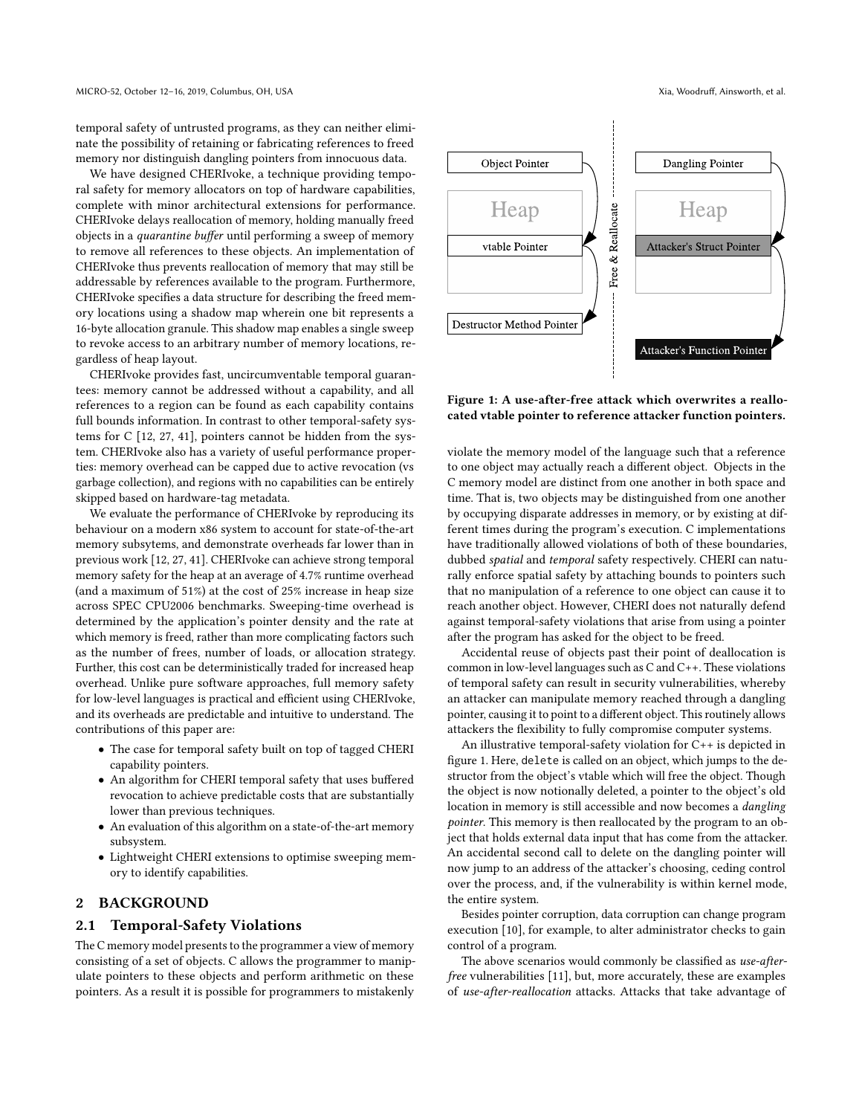temporal safety of untrusted programs, as they can neither eliminate the possibility of retaining or fabricating references to freed memory nor distinguish dangling pointers from innocuous data.

We have designed CHERIvoke, a technique providing temporal safety for memory allocators on top of hardware capabilities, complete with minor architectural extensions for performance. CHERIvoke delays reallocation of memory, holding manually freed objects in a quarantine buffer until performing a sweep of memory to remove all references to these objects. An implementation of CHERIvoke thus prevents reallocation of memory that may still be addressable by references available to the program. Furthermore, CHERIvoke specifies a data structure for describing the freed memory locations using a shadow map wherein one bit represents a 16-byte allocation granule. This shadow map enables a single sweep to revoke access to an arbitrary number of memory locations, regardless of heap layout.

CHERIvoke provides fast, uncircumventable temporal guarantees: memory cannot be addressed without a capability, and all references to a region can be found as each capability contains full bounds information. In contrast to other temporal-safety systems for C [\[12,](#page-12-9) [27,](#page-12-10) [41\]](#page-12-11), pointers cannot be hidden from the system. CHERIvoke also has a variety of useful performance properties: memory overhead can be capped due to active revocation (vs garbage collection), and regions with no capabilities can be entirely skipped based on hardware-tag metadata.

We evaluate the performance of CHERIvoke by reproducing its behaviour on a modern x86 system to account for state-of-the-art memory subsytems, and demonstrate overheads far lower than in previous work [\[12,](#page-12-9) [27,](#page-12-10) [41\]](#page-12-11). CHERIvoke can achieve strong temporal memory safety for the heap at an average of 4.7% runtime overhead (and a maximum of 51%) at the cost of 25% increase in heap size across SPEC CPU2006 benchmarks. Sweeping-time overhead is determined by the application's pointer density and the rate at which memory is freed, rather than more complicating factors such as the number of frees, number of loads, or allocation strategy. Further, this cost can be deterministically traded for increased heap overhead. Unlike pure software approaches, full memory safety for low-level languages is practical and efficient using CHERIvoke, and its overheads are predictable and intuitive to understand. The contributions of this paper are:

- The case for temporal safety built on top of tagged CHERI capability pointers.
- An algorithm for CHERI temporal safety that uses buffered revocation to achieve predictable costs that are substantially lower than previous techniques.
- An evaluation of this algorithm on a state-of-the-art memory subsystem.
- Lightweight CHERI extensions to optimise sweeping memory to identify capabilities.

# 2 BACKGROUND

## 2.1 Temporal-Safety Violations

The C memory model presents to the programmer a view of memory consisting of a set of objects. C allows the programmer to manipulate pointers to these objects and perform arithmetic on these pointers. As a result it is possible for programmers to mistakenly

<span id="page-1-0"></span>

Figure 1: A use-after-free attack which overwrites a reallocated vtable pointer to reference attacker function pointers.

violate the memory model of the language such that a reference to one object may actually reach a different object. Objects in the C memory model are distinct from one another in both space and time. That is, two objects may be distinguished from one another by occupying disparate addresses in memory, or by existing at different times during the program's execution. C implementations have traditionally allowed violations of both of these boundaries, dubbed spatial and temporal safety respectively. CHERI can naturally enforce spatial safety by attaching bounds to pointers such that no manipulation of a reference to one object can cause it to reach another object. However, CHERI does not naturally defend against temporal-safety violations that arise from using a pointer after the program has asked for the object to be freed.

Accidental reuse of objects past their point of deallocation is common in low-level languages such as C and C++. These violations of temporal safety can result in security vulnerabilities, whereby an attacker can manipulate memory reached through a dangling pointer, causing it to point to a different object. This routinely allows attackers the flexibility to fully compromise computer systems.

An illustrative temporal-safety violation for C++ is depicted in figure [1.](#page-1-0) Here, delete is called on an object, which jumps to the destructor from the object's vtable which will free the object. Though the object is now notionally deleted, a pointer to the object's old location in memory is still accessible and now becomes a dangling pointer. This memory is then reallocated by the program to an object that holds external data input that has come from the attacker. An accidental second call to delete on the dangling pointer will now jump to an address of the attacker's choosing, ceding control over the process, and, if the vulnerability is within kernel mode, the entire system.

Besides pointer corruption, data corruption can change program execution [\[10\]](#page-12-12), for example, to alter administrator checks to gain control of a program.

The above scenarios would commonly be classified as use-afterfree vulnerabilities [\[11\]](#page-12-2), but, more accurately, these are examples of use-after-reallocation attacks. Attacks that take advantage of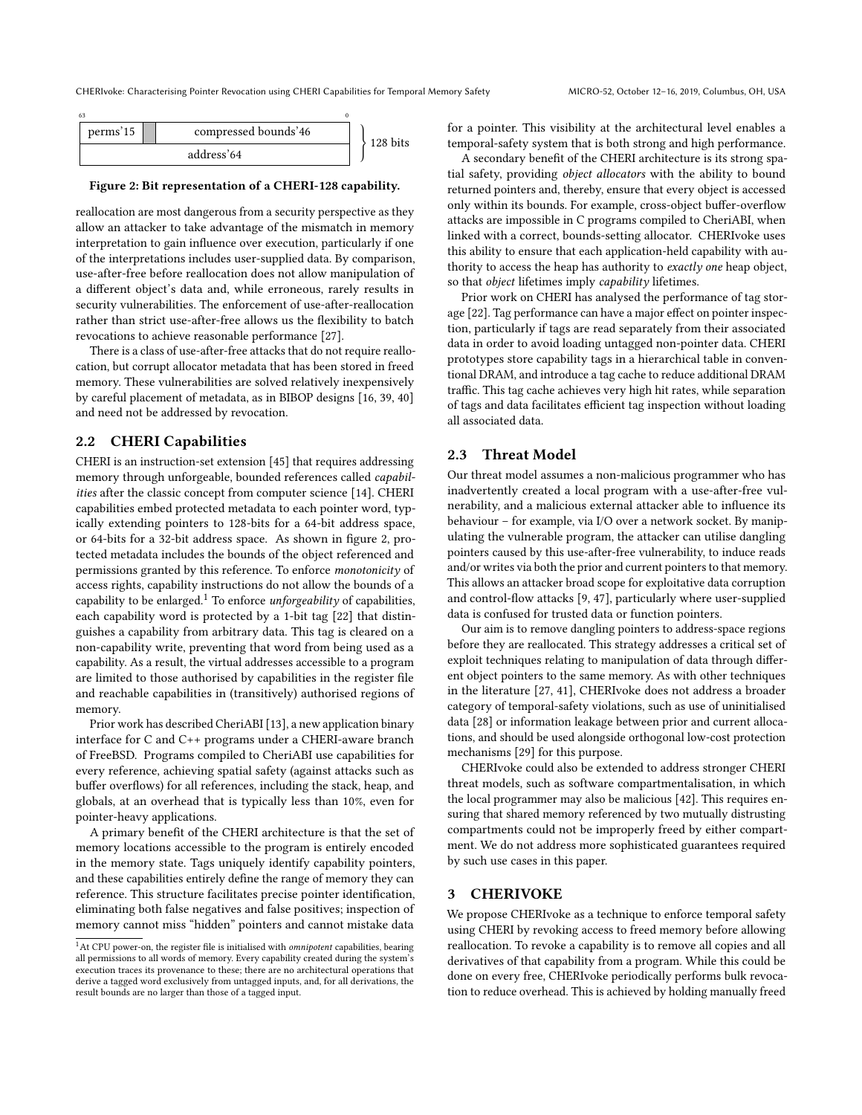<span id="page-2-0"></span>

## Figure 2: Bit representation of a CHERI-128 capability.

reallocation are most dangerous from a security perspective as they allow an attacker to take advantage of the mismatch in memory interpretation to gain influence over execution, particularly if one of the interpretations includes user-supplied data. By comparison, use-after-free before reallocation does not allow manipulation of a different object's data and, while erroneous, rarely results in security vulnerabilities. The enforcement of use-after-reallocation rather than strict use-after-free allows us the flexibility to batch revocations to achieve reasonable performance [\[27\]](#page-12-10).

There is a class of use-after-free attacks that do not require reallocation, but corrupt allocator metadata that has been stored in freed memory. These vulnerabilities are solved relatively inexpensively by careful placement of metadata, as in BIBOP designs [\[16,](#page-12-13) [39,](#page-12-14) [40\]](#page-12-15) and need not be addressed by revocation.

# 2.2 CHERI Capabilities

CHERI is an instruction-set extension [\[45\]](#page-12-7) that requires addressing memory through unforgeable, bounded references called capabilities after the classic concept from computer science [\[14\]](#page-12-16). CHERI capabilities embed protected metadata to each pointer word, typically extending pointers to 128-bits for a 64-bit address space, or 64-bits for a 32-bit address space. As shown in figure [2,](#page-2-0) protected metadata includes the bounds of the object referenced and permissions granted by this reference. To enforce monotonicity of access rights, capability instructions do not allow the bounds of a capability to be enlarged.<sup>[1](#page-2-1)</sup> To enforce *unforgeability* of capabilities, each capability word is protected by a 1-bit tag [\[22\]](#page-12-17) that distinguishes a capability from arbitrary data. This tag is cleared on a non-capability write, preventing that word from being used as a capability. As a result, the virtual addresses accessible to a program are limited to those authorised by capabilities in the register file and reachable capabilities in (transitively) authorised regions of memory.

Prior work has described CheriABI [\[13\]](#page-12-18), a new application binary interface for C and C++ programs under a CHERI-aware branch of FreeBSD. Programs compiled to CheriABI use capabilities for every reference, achieving spatial safety (against attacks such as buffer overflows) for all references, including the stack, heap, and globals, at an overhead that is typically less than 10%, even for pointer-heavy applications.

A primary benefit of the CHERI architecture is that the set of memory locations accessible to the program is entirely encoded in the memory state. Tags uniquely identify capability pointers, and these capabilities entirely define the range of memory they can reference. This structure facilitates precise pointer identification, eliminating both false negatives and false positives; inspection of memory cannot miss "hidden" pointers and cannot mistake data

for a pointer. This visibility at the architectural level enables a temporal-safety system that is both strong and high performance.

A secondary benefit of the CHERI architecture is its strong spatial safety, providing object allocators with the ability to bound returned pointers and, thereby, ensure that every object is accessed only within its bounds. For example, cross-object buffer-overflow attacks are impossible in C programs compiled to CheriABI, when linked with a correct, bounds-setting allocator. CHERIvoke uses this ability to ensure that each application-held capability with authority to access the heap has authority to exactly one heap object, so that *object* lifetimes imply *capability* lifetimes.

Prior work on CHERI has analysed the performance of tag storage [\[22\]](#page-12-17). Tag performance can have a major effect on pointer inspection, particularly if tags are read separately from their associated data in order to avoid loading untagged non-pointer data. CHERI prototypes store capability tags in a hierarchical table in conventional DRAM, and introduce a tag cache to reduce additional DRAM traffic. This tag cache achieves very high hit rates, while separation of tags and data facilitates efficient tag inspection without loading all associated data.

## 2.3 Threat Model

Our threat model assumes a non-malicious programmer who has inadvertently created a local program with a use-after-free vulnerability, and a malicious external attacker able to influence its behaviour – for example, via I/O over a network socket. By manipulating the vulnerable program, the attacker can utilise dangling pointers caused by this use-after-free vulnerability, to induce reads and/or writes via both the prior and current pointers to that memory. This allows an attacker broad scope for exploitative data corruption and control-flow attacks [\[9,](#page-12-19) [47\]](#page-12-20), particularly where user-supplied data is confused for trusted data or function pointers.

Our aim is to remove dangling pointers to address-space regions before they are reallocated. This strategy addresses a critical set of exploit techniques relating to manipulation of data through different object pointers to the same memory. As with other techniques in the literature [\[27,](#page-12-10) [41\]](#page-12-11), CHERIvoke does not address a broader category of temporal-safety violations, such as use of uninitialised data [\[28\]](#page-12-21) or information leakage between prior and current allocations, and should be used alongside orthogonal low-cost protection mechanisms [\[29\]](#page-12-22) for this purpose.

CHERIvoke could also be extended to address stronger CHERI threat models, such as software compartmentalisation, in which the local programmer may also be malicious [\[42\]](#page-12-23). This requires ensuring that shared memory referenced by two mutually distrusting compartments could not be improperly freed by either compartment. We do not address more sophisticated guarantees required by such use cases in this paper.

## 3 CHERIVOKE

We propose CHERIvoke as a technique to enforce temporal safety using CHERI by revoking access to freed memory before allowing reallocation. To revoke a capability is to remove all copies and all derivatives of that capability from a program. While this could be done on every free, CHERIvoke periodically performs bulk revocation to reduce overhead. This is achieved by holding manually freed

<span id="page-2-1"></span><sup>&</sup>lt;sup>1</sup>At CPU power-on, the register file is initialised with *omnipotent* capabilities, bearing all permissions to all words of memory. Every capability created during the system's execution traces its provenance to these; there are no architectural operations that derive a tagged word exclusively from untagged inputs, and, for all derivations, the result bounds are no larger than those of a tagged input.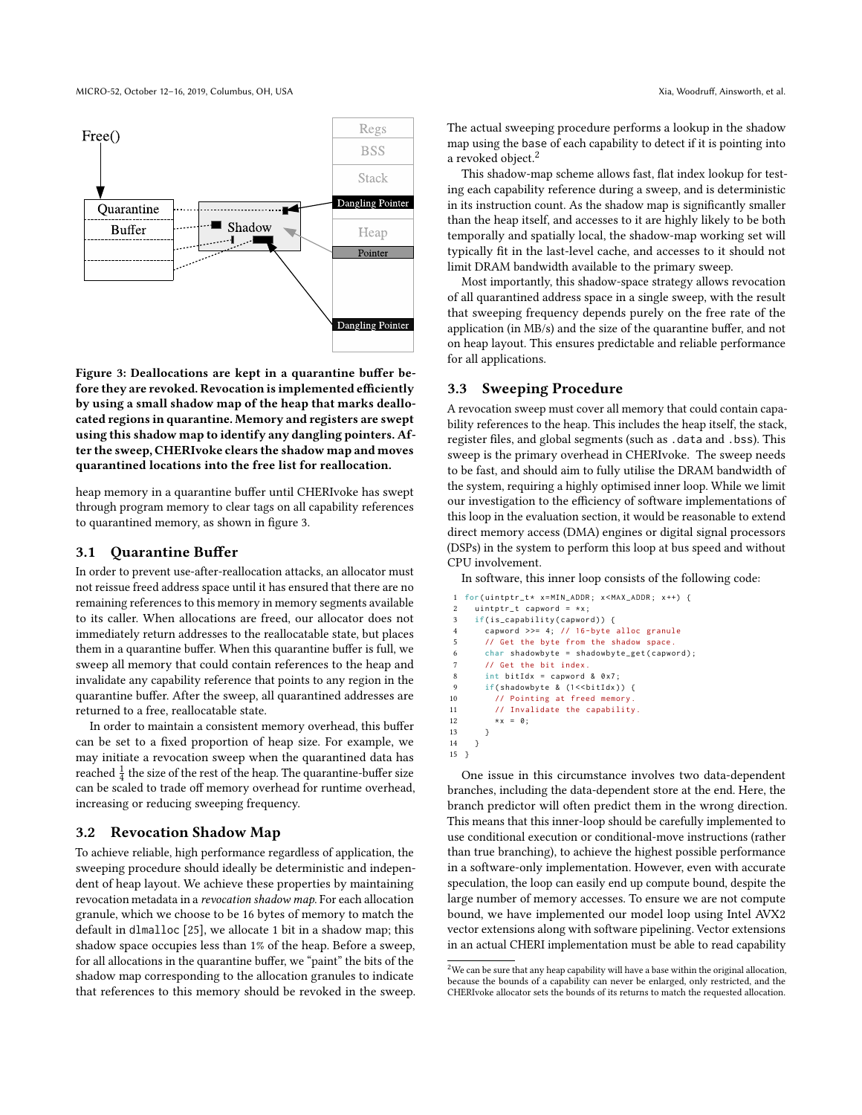<span id="page-3-0"></span>

Figure 3: Deallocations are kept in a quarantine buffer before they are revoked. Revocation is implemented efficiently by using a small shadow map of the heap that marks deallocated regions in quarantine. Memory and registers are swept using this shadow map to identify any dangling pointers. After the sweep, CHERIvoke clears the shadow map and moves quarantined locations into the free list for reallocation.

heap memory in a quarantine buffer until CHERIvoke has swept through program memory to clear tags on all capability references to quarantined memory, as shown in figure [3.](#page-3-0)

## 3.1 Quarantine Buffer

In order to prevent use-after-reallocation attacks, an allocator must not reissue freed address space until it has ensured that there are no remaining references to this memory in memory segments available to its caller. When allocations are freed, our allocator does not immediately return addresses to the reallocatable state, but places them in a quarantine buffer. When this quarantine buffer is full, we sweep all memory that could contain references to the heap and invalidate any capability reference that points to any region in the quarantine buffer. After the sweep, all quarantined addresses are returned to a free, reallocatable state.

In order to maintain a consistent memory overhead, this buffer can be set to a fixed proportion of heap size. For example, we may initiate a revocation sweep when the quarantined data has reached  $\frac{1}{4}$  the size of the rest of the heap. The quarantine-buffer size can be scaled to trade off memory overhead for runtime overhead, increasing or reducing sweeping frequency.

## 3.2 Revocation Shadow Map

To achieve reliable, high performance regardless of application, the sweeping procedure should ideally be deterministic and independent of heap layout. We achieve these properties by maintaining revocation metadata in a revocation shadow map. For each allocation granule, which we choose to be 16 bytes of memory to match the default in dlmalloc [\[25\]](#page-12-24), we allocate 1 bit in a shadow map; this shadow space occupies less than 1% of the heap. Before a sweep, for all allocations in the quarantine buffer, we "paint" the bits of the shadow map corresponding to the allocation granules to indicate that references to this memory should be revoked in the sweep. The actual sweeping procedure performs a lookup in the shadow map using the base of each capability to detect if it is pointing into a revoked object.<sup>[2](#page-3-1)</sup>

This shadow-map scheme allows fast, flat index lookup for testing each capability reference during a sweep, and is deterministic in its instruction count. As the shadow map is significantly smaller than the heap itself, and accesses to it are highly likely to be both temporally and spatially local, the shadow-map working set will typically fit in the last-level cache, and accesses to it should not limit DRAM bandwidth available to the primary sweep.

Most importantly, this shadow-space strategy allows revocation of all quarantined address space in a single sweep, with the result that sweeping frequency depends purely on the free rate of the application (in MB/s) and the size of the quarantine buffer, and not on heap layout. This ensures predictable and reliable performance for all applications.

## 3.3 Sweeping Procedure

A revocation sweep must cover all memory that could contain capability references to the heap. This includes the heap itself, the stack, register files, and global segments (such as .data and .bss). This sweep is the primary overhead in CHERIvoke. The sweep needs to be fast, and should aim to fully utilise the DRAM bandwidth of the system, requiring a highly optimised inner loop. While we limit our investigation to the efficiency of software implementations of this loop in the evaluation section, it would be reasonable to extend direct memory access (DMA) engines or digital signal processors (DSPs) in the system to perform this loop at bus speed and without CPU involvement.

In software, this inner loop consists of the following code:

```
1 for( uintptr_t * x = MIN_ADDR ; x < MAX_ADDR ; x ++) {
2 uintptr_t capword = *x;
     if(is_capability(capword)) {
4 capword > >= 4; // 16 - byte alloc granule
5 // Get the byte from the shadow space .
       char shadowbyte = shadowbyte_get(capword);
       // Get the bit index.
8 int bitIdx = capword & 0x7;
       if( shadowbyte & (1 << bitIdx ) ) {
10 // Pointing at freed memory<br>11 // Invalidate the capability
         // Invalidate the capability
12 \star x = 0;
13 }
14 }
15 }
```
One issue in this circumstance involves two data-dependent branches, including the data-dependent store at the end. Here, the branch predictor will often predict them in the wrong direction. This means that this inner-loop should be carefully implemented to use conditional execution or conditional-move instructions (rather than true branching), to achieve the highest possible performance in a software-only implementation. However, even with accurate speculation, the loop can easily end up compute bound, despite the large number of memory accesses. To ensure we are not compute bound, we have implemented our model loop using Intel AVX2 vector extensions along with software pipelining. Vector extensions in an actual CHERI implementation must be able to read capability

<span id="page-3-1"></span> $^2\rm{We}$  can be sure that any heap capability will have a base within the original allocation, because the bounds of a capability can never be enlarged, only restricted, and the CHERIvoke allocator sets the bounds of its returns to match the requested allocation.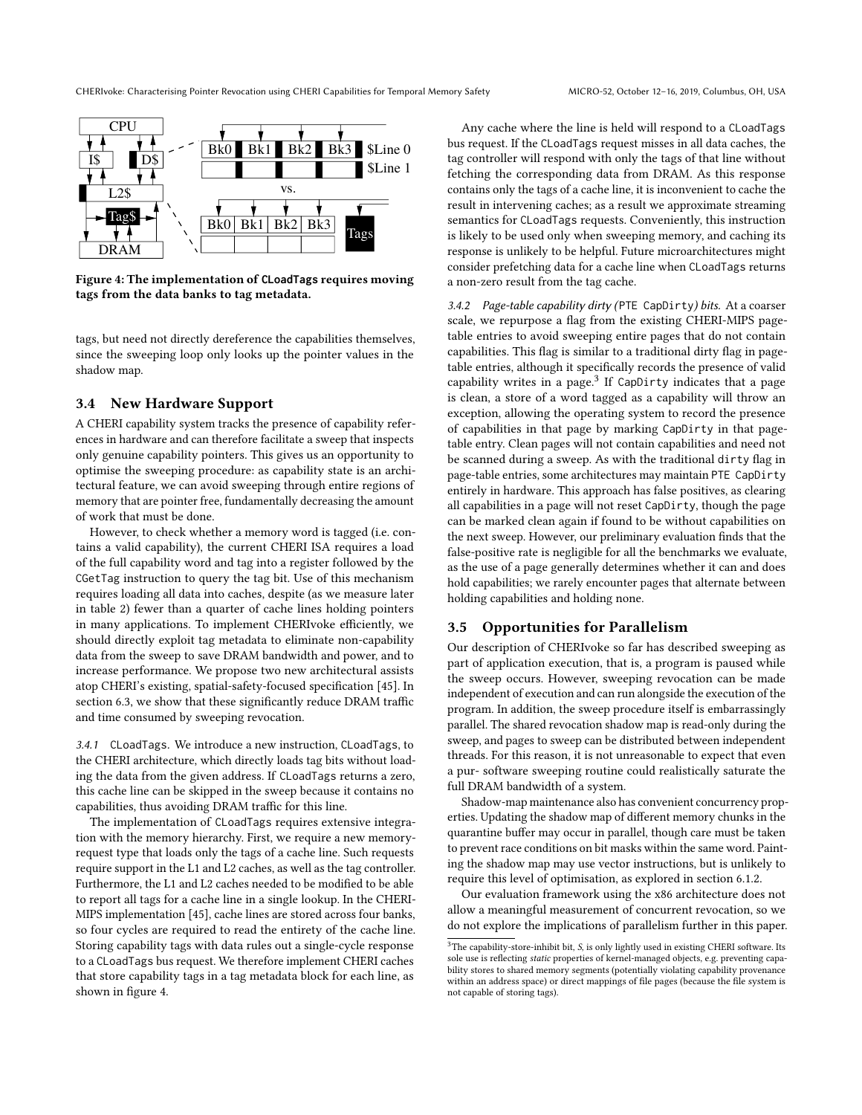<span id="page-4-0"></span>

Figure 4: The implementation of **CLoadTags** requires moving tags from the data banks to tag metadata.

tags, but need not directly dereference the capabilities themselves, since the sweeping loop only looks up the pointer values in the shadow map.

# <span id="page-4-3"></span>3.4 New Hardware Support

A CHERI capability system tracks the presence of capability references in hardware and can therefore facilitate a sweep that inspects only genuine capability pointers. This gives us an opportunity to optimise the sweeping procedure: as capability state is an architectural feature, we can avoid sweeping through entire regions of memory that are pointer free, fundamentally decreasing the amount of work that must be done.

However, to check whether a memory word is tagged (i.e. contains a valid capability), the current CHERI ISA requires a load of the full capability word and tag into a register followed by the CGetTag instruction to query the tag bit. Use of this mechanism requires loading all data into caches, despite (as we measure later in table [2\)](#page-8-0) fewer than a quarter of cache lines holding pointers in many applications. To implement CHERIvoke efficiently, we should directly exploit tag metadata to eliminate non-capability data from the sweep to save DRAM bandwidth and power, and to increase performance. We propose two new architectural assists atop CHERI's existing, spatial-safety-focused specification [\[45\]](#page-12-7). In section [6.3,](#page-8-1) we show that these significantly reduce DRAM traffic and time consumed by sweeping revocation.

<span id="page-4-4"></span>3.4.1 CLoadTags. We introduce a new instruction, CLoadTags, to the CHERI architecture, which directly loads tag bits without loading the data from the given address. If CLoadTags returns a zero, this cache line can be skipped in the sweep because it contains no capabilities, thus avoiding DRAM traffic for this line.

The implementation of CLoadTags requires extensive integration with the memory hierarchy. First, we require a new memoryrequest type that loads only the tags of a cache line. Such requests require support in the L1 and L2 caches, as well as the tag controller. Furthermore, the L1 and L2 caches needed to be modified to be able to report all tags for a cache line in a single lookup. In the CHERI-MIPS implementation [\[45\]](#page-12-7), cache lines are stored across four banks, so four cycles are required to read the entirety of the cache line. Storing capability tags with data rules out a single-cycle response to a CLoadTags bus request. We therefore implement CHERI caches that store capability tags in a tag metadata block for each line, as shown in figure [4.](#page-4-0)

Any cache where the line is held will respond to a CLoadTags bus request. If the CLoadTags request misses in all data caches, the tag controller will respond with only the tags of that line without fetching the corresponding data from DRAM. As this response contains only the tags of a cache line, it is inconvenient to cache the result in intervening caches; as a result we approximate streaming semantics for CLoadTags requests. Conveniently, this instruction is likely to be used only when sweeping memory, and caching its response is unlikely to be helpful. Future microarchitectures might consider prefetching data for a cache line when CLoadTags returns a non-zero result from the tag cache.

<span id="page-4-2"></span>3.4.2 Page-table capability dirty (PTE CapDirty) bits. At a coarser scale, we repurpose a flag from the existing CHERI-MIPS pagetable entries to avoid sweeping entire pages that do not contain capabilities. This flag is similar to a traditional dirty flag in pagetable entries, although it specifically records the presence of valid capability writes in a page. $3$  If CapDirty indicates that a page is clean, a store of a word tagged as a capability will throw an exception, allowing the operating system to record the presence of capabilities in that page by marking CapDirty in that pagetable entry. Clean pages will not contain capabilities and need not be scanned during a sweep. As with the traditional dirty flag in page-table entries, some architectures may maintain PTE CapDirty entirely in hardware. This approach has false positives, as clearing all capabilities in a page will not reset CapDirty, though the page can be marked clean again if found to be without capabilities on the next sweep. However, our preliminary evaluation finds that the false-positive rate is negligible for all the benchmarks we evaluate, as the use of a page generally determines whether it can and does hold capabilities; we rarely encounter pages that alternate between holding capabilities and holding none.

# 3.5 Opportunities for Parallelism

Our description of CHERIvoke so far has described sweeping as part of application execution, that is, a program is paused while the sweep occurs. However, sweeping revocation can be made independent of execution and can run alongside the execution of the program. In addition, the sweep procedure itself is embarrassingly parallel. The shared revocation shadow map is read-only during the sweep, and pages to sweep can be distributed between independent threads. For this reason, it is not unreasonable to expect that even a pur- software sweeping routine could realistically saturate the full DRAM bandwidth of a system.

Shadow-map maintenance also has convenient concurrency properties. Updating the shadow map of different memory chunks in the quarantine buffer may occur in parallel, though care must be taken to prevent race conditions on bit masks within the same word. Painting the shadow map may use vector instructions, but is unlikely to require this level of optimisation, as explored in section [6.1.2.](#page-8-2)

Our evaluation framework using the x86 architecture does not allow a meaningful measurement of concurrent revocation, so we do not explore the implications of parallelism further in this paper.

<span id="page-4-1"></span> $3$ The capability-store-inhibit bit,  $S$ , is only lightly used in existing CHERI software. Its sole use is reflecting static properties of kernel-managed objects, e.g. preventing capability stores to shared memory segments (potentially violating capability provenance within an address space) or direct mappings of file pages (because the file system is not capable of storing tags).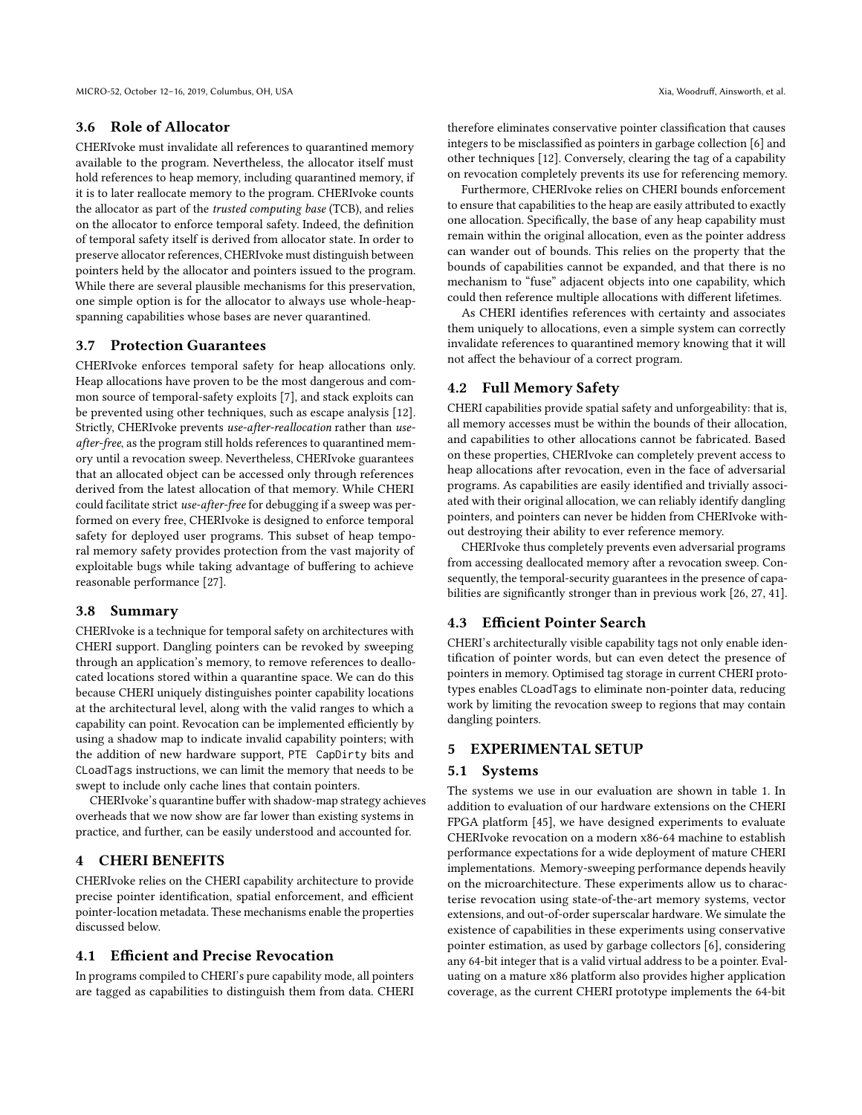## 3.6 Role of Allocator

CHERIvoke must invalidate all references to quarantined memory available to the program. Nevertheless, the allocator itself must hold references to heap memory, including quarantined memory, if it is to later reallocate memory to the program. CHERIvoke counts the allocator as part of the trusted computing base (TCB), and relies on the allocator to enforce temporal safety. Indeed, the definition of temporal safety itself is derived from allocator state. In order to preserve allocator references, CHERIvoke must distinguish between pointers held by the allocator and pointers issued to the program. While there are several plausible mechanisms for this preservation, one simple option is for the allocator to always use whole-heapspanning capabilities whose bases are never quarantined.

# 3.7 Protection Guarantees

CHERIvoke enforces temporal safety for heap allocations only. Heap allocations have proven to be the most dangerous and common source of temporal-safety exploits [\[7\]](#page-12-25), and stack exploits can be prevented using other techniques, such as escape analysis [\[12\]](#page-12-9). Strictly, CHERIvoke prevents use-after-reallocation rather than useafter-free, as the program still holds references to quarantined memory until a revocation sweep. Nevertheless, CHERIvoke guarantees that an allocated object can be accessed only through references derived from the latest allocation of that memory. While CHERI could facilitate strict use-after-free for debugging if a sweep was performed on every free, CHERIvoke is designed to enforce temporal safety for deployed user programs. This subset of heap temporal memory safety provides protection from the vast majority of exploitable bugs while taking advantage of buffering to achieve reasonable performance [\[27\]](#page-12-10).

## 3.8 Summary

CHERIvoke is a technique for temporal safety on architectures with CHERI support. Dangling pointers can be revoked by sweeping through an application's memory, to remove references to deallocated locations stored within a quarantine space. We can do this because CHERI uniquely distinguishes pointer capability locations at the architectural level, along with the valid ranges to which a capability can point. Revocation can be implemented efficiently by using a shadow map to indicate invalid capability pointers; with the addition of new hardware support, PTE CapDirty bits and CLoadTags instructions, we can limit the memory that needs to be swept to include only cache lines that contain pointers.

CHERIvoke's quarantine buffer with shadow-map strategy achieves overheads that we now show are far lower than existing systems in practice, and further, can be easily understood and accounted for.

## 4 CHERI BENEFITS

CHERIvoke relies on the CHERI capability architecture to provide precise pointer identification, spatial enforcement, and efficient pointer-location metadata. These mechanisms enable the properties discussed below.

# 4.1 Efficient and Precise Revocation

In programs compiled to CHERI's pure capability mode, all pointers are tagged as capabilities to distinguish them from data. CHERI

therefore eliminates conservative pointer classification that causes integers to be misclassified as pointers in garbage collection [\[6\]](#page-12-26) and other techniques [\[12\]](#page-12-9). Conversely, clearing the tag of a capability on revocation completely prevents its use for referencing memory.

Furthermore, CHERIvoke relies on CHERI bounds enforcement to ensure that capabilities to the heap are easily attributed to exactly one allocation. Specifically, the base of any heap capability must remain within the original allocation, even as the pointer address can wander out of bounds. This relies on the property that the bounds of capabilities cannot be expanded, and that there is no mechanism to "fuse" adjacent objects into one capability, which could then reference multiple allocations with different lifetimes.

As CHERI identifies references with certainty and associates them uniquely to allocations, even a simple system can correctly invalidate references to quarantined memory knowing that it will not affect the behaviour of a correct program.

# 4.2 Full Memory Safety

CHERI capabilities provide spatial safety and unforgeability: that is, all memory accesses must be within the bounds of their allocation, and capabilities to other allocations cannot be fabricated. Based on these properties, CHERIvoke can completely prevent access to heap allocations after revocation, even in the face of adversarial programs. As capabilities are easily identified and trivially associated with their original allocation, we can reliably identify dangling pointers, and pointers can never be hidden from CHERIvoke without destroying their ability to ever reference memory.

CHERIvoke thus completely prevents even adversarial programs from accessing deallocated memory after a revocation sweep. Consequently, the temporal-security guarantees in the presence of capabilities are significantly stronger than in previous work [\[26,](#page-12-4) [27,](#page-12-10) [41\]](#page-12-11).

#### 4.3 Efficient Pointer Search

CHERI's architecturally visible capability tags not only enable identification of pointer words, but can even detect the presence of pointers in memory. Optimised tag storage in current CHERI prototypes enables CLoadTags to eliminate non-pointer data, reducing work by limiting the revocation sweep to regions that may contain dangling pointers.

# 5 EXPERIMENTAL SETUP

#### 5.1 Systems

The systems we use in our evaluation are shown in table [1.](#page-6-0) In addition to evaluation of our hardware extensions on the CHERI FPGA platform [\[45\]](#page-12-7), we have designed experiments to evaluate CHERIvoke revocation on a modern x86-64 machine to establish performance expectations for a wide deployment of mature CHERI implementations. Memory-sweeping performance depends heavily on the microarchitecture. These experiments allow us to characterise revocation using state-of-the-art memory systems, vector extensions, and out-of-order superscalar hardware. We simulate the existence of capabilities in these experiments using conservative pointer estimation, as used by garbage collectors [\[6\]](#page-12-26), considering any 64-bit integer that is a valid virtual address to be a pointer. Evaluating on a mature x86 platform also provides higher application coverage, as the current CHERI prototype implements the 64-bit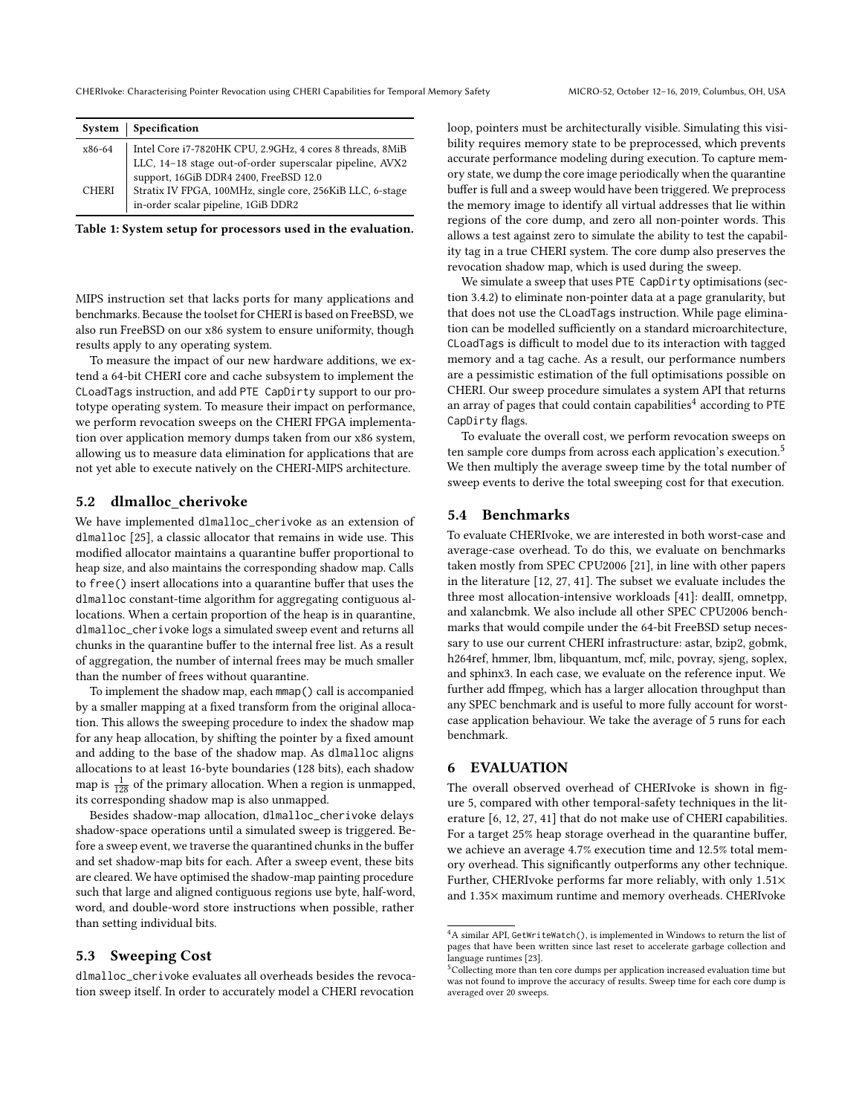<span id="page-6-0"></span>

|              | System   Specification                                    |
|--------------|-----------------------------------------------------------|
| x86-64       | Intel Core i7-7820HK CPU, 2.9GHz, 4 cores 8 threads, 8MiB |
|              | LLC, 14-18 stage out-of-order superscalar pipeline, AVX2  |
|              | support, 16GiB DDR4 2400, FreeBSD 12.0                    |
| <b>CHERI</b> | Stratix IV FPGA, 100MHz, single core, 256KiB LLC, 6-stage |
|              | in-order scalar pipeline, 1GiB DDR2                       |

Table 1: System setup for processors used in the evaluation.

MIPS instruction set that lacks ports for many applications and benchmarks. Because the toolset for CHERI is based on FreeBSD, we also run FreeBSD on our x86 system to ensure uniformity, though results apply to any operating system.

To measure the impact of our new hardware additions, we extend a 64-bit CHERI core and cache subsystem to implement the CLoadTags instruction, and add PTE CapDirty support to our prototype operating system. To measure their impact on performance, we perform revocation sweeps on the CHERI FPGA implementation over application memory dumps taken from our x86 system, allowing us to measure data elimination for applications that are not yet able to execute natively on the CHERI-MIPS architecture.

# 5.2 dlmalloc\_cherivoke

We have implemented dlmalloc\_cherivoke as an extension of dlmalloc [\[25\]](#page-12-24), a classic allocator that remains in wide use. This modified allocator maintains a quarantine buffer proportional to heap size, and also maintains the corresponding shadow map. Calls to free() insert allocations into a quarantine buffer that uses the dlmalloc constant-time algorithm for aggregating contiguous allocations. When a certain proportion of the heap is in quarantine, dlmalloc\_cherivoke logs a simulated sweep event and returns all chunks in the quarantine buffer to the internal free list. As a result of aggregation, the number of internal frees may be much smaller than the number of frees without quarantine.

To implement the shadow map, each mmap() call is accompanied by a smaller mapping at a fixed transform from the original allocation. This allows the sweeping procedure to index the shadow map for any heap allocation, by shifting the pointer by a fixed amount and adding to the base of the shadow map. As dlmalloc aligns allocations to at least 16-byte boundaries (128 bits), each shadow map is  $\frac{1}{128}$  of the primary allocation. When a region is unmapped, its corresponding shadow map is also unmapped.

Besides shadow-map allocation, dlmalloc\_cherivoke delays shadow-space operations until a simulated sweep is triggered. Before a sweep event, we traverse the quarantined chunks in the buffer and set shadow-map bits for each. After a sweep event, these bits are cleared. We have optimised the shadow-map painting procedure such that large and aligned contiguous regions use byte, half-word, word, and double-word store instructions when possible, rather than setting individual bits.

# 5.3 Sweeping Cost

dlmalloc\_cherivoke evaluates all overheads besides the revocation sweep itself. In order to accurately model a CHERI revocation

loop, pointers must be architecturally visible. Simulating this visibility requires memory state to be preprocessed, which prevents accurate performance modeling during execution. To capture memory state, we dump the core image periodically when the quarantine buffer is full and a sweep would have been triggered. We preprocess the memory image to identify all virtual addresses that lie within regions of the core dump, and zero all non-pointer words. This allows a test against zero to simulate the ability to test the capability tag in a true CHERI system. The core dump also preserves the revocation shadow map, which is used during the sweep.

We simulate a sweep that uses PTE CapDirty optimisations (section [3.4.2\)](#page-4-2) to eliminate non-pointer data at a page granularity, but that does not use the CLoadTags instruction. While page elimination can be modelled sufficiently on a standard microarchitecture, CLoadTags is difficult to model due to its interaction with tagged memory and a tag cache. As a result, our performance numbers are a pessimistic estimation of the full optimisations possible on CHERI. Our sweep procedure simulates a system API that returns an array of pages that could contain capabilities<sup>[4](#page-6-1)</sup> according to PTE CapDirty flags.

To evaluate the overall cost, we perform revocation sweeps on ten sample core dumps from across each application's execution.<sup>[5](#page-6-2)</sup> We then multiply the average sweep time by the total number of sweep events to derive the total sweeping cost for that execution.

## 5.4 Benchmarks

To evaluate CHERIvoke, we are interested in both worst-case and average-case overhead. To do this, we evaluate on benchmarks taken mostly from SPEC CPU2006 [\[21\]](#page-12-27), in line with other papers in the literature [\[12,](#page-12-9) [27,](#page-12-10) [41\]](#page-12-11). The subset we evaluate includes the three most allocation-intensive workloads [\[41\]](#page-12-11): dealII, omnetpp, and xalancbmk. We also include all other SPEC CPU2006 benchmarks that would compile under the 64-bit FreeBSD setup necessary to use our current CHERI infrastructure: astar, bzip2, gobmk, h264ref, hmmer, lbm, libquantum, mcf, milc, povray, sjeng, soplex, and sphinx3. In each case, we evaluate on the reference input. We further add ffmpeg, which has a larger allocation throughput than any SPEC benchmark and is useful to more fully account for worstcase application behaviour. We take the average of 5 runs for each benchmark.

# 6 EVALUATION

The overall observed overhead of CHERIvoke is shown in figure [5,](#page-7-0) compared with other temporal-safety techniques in the literature [\[6,](#page-12-26) [12,](#page-12-9) [27,](#page-12-10) [41\]](#page-12-11) that do not make use of CHERI capabilities. For a target 25% heap storage overhead in the quarantine buffer, we achieve an average 4.7% execution time and 12.5% total memory overhead. This significantly outperforms any other technique. Further, CHERIvoke performs far more reliably, with only <sup>1</sup>.51<sup>×</sup> and <sup>1</sup>.35<sup>×</sup> maximum runtime and memory overheads. CHERIvoke

<span id="page-6-1"></span> ${}^4\mathrm{A}$  similar API, GetWriteWatch(), is implemented in Windows to return the list of pages that have been written since last reset to accelerate garbage collection and language runtimes [\[23\]](#page-12-28).

<span id="page-6-2"></span><sup>&</sup>lt;sup>5</sup>Collecting more than ten core dumps per application increased evaluation time but was not found to improve the accuracy of results. Sweep time for each core dump is averaged over 20 sweeps.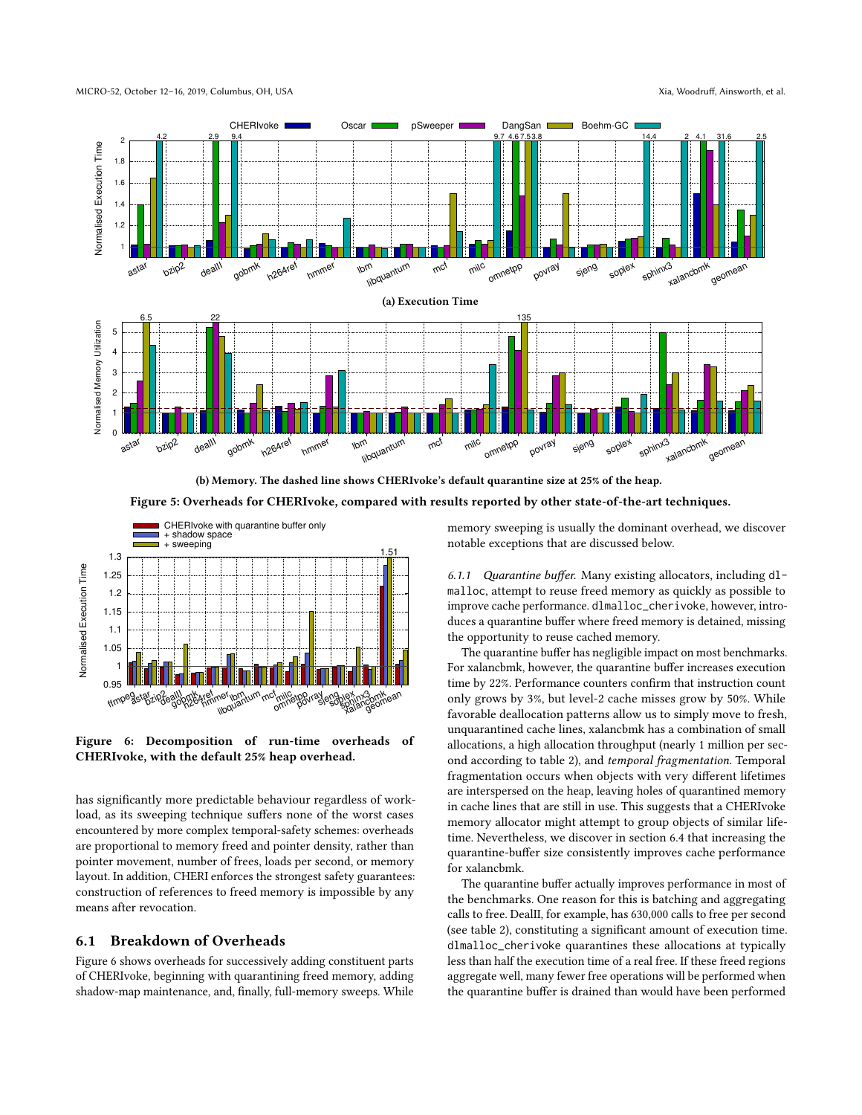<span id="page-7-0"></span>

(b) Memory. The dashed line shows CHERIvoke's default quarantine size at 25% of the heap.

Figure 5: Overheads for CHERIvoke, compared with results reported by other state-of-the-art techniques.

<span id="page-7-1"></span>

Figure 6: Decomposition of run-time overheads of CHERIvoke, with the default 25% heap overhead.

has significantly more predictable behaviour regardless of workload, as its sweeping technique suffers none of the worst cases encountered by more complex temporal-safety schemes: overheads are proportional to memory freed and pointer density, rather than pointer movement, number of frees, loads per second, or memory layout. In addition, CHERI enforces the strongest safety guarantees: construction of references to freed memory is impossible by any means after revocation.

# 6.1 Breakdown of Overheads

Figure [6](#page-7-1) shows overheads for successively adding constituent parts of CHERIvoke, beginning with quarantining freed memory, adding shadow-map maintenance, and, finally, full-memory sweeps. While memory sweeping is usually the dominant overhead, we discover notable exceptions that are discussed below.

6.1.1 Quarantine buffer. Many existing allocators, including dlmalloc, attempt to reuse freed memory as quickly as possible to improve cache performance. dlmalloc\_cherivoke, however, introduces a quarantine buffer where freed memory is detained, missing the opportunity to reuse cached memory.

The quarantine buffer has negligible impact on most benchmarks. For xalancbmk, however, the quarantine buffer increases execution time by 22%. Performance counters confirm that instruction count only grows by 3%, but level-2 cache misses grow by 50%. While favorable deallocation patterns allow us to simply move to fresh, unquarantined cache lines, xalancbmk has a combination of small allocations, a high allocation throughput (nearly 1 million per second according to table [2\)](#page-8-0), and temporal fragmentation. Temporal fragmentation occurs when objects with very different lifetimes are interspersed on the heap, leaving holes of quarantined memory in cache lines that are still in use. This suggests that a CHERIvoke memory allocator might attempt to group objects of similar lifetime. Nevertheless, we discover in section [6.4](#page-9-0) that increasing the quarantine-buffer size consistently improves cache performance for xalancbmk.

The quarantine buffer actually improves performance in most of the benchmarks. One reason for this is batching and aggregating calls to free. DealII, for example, has 630,000 calls to free per second (see table [2\)](#page-8-0), constituting a significant amount of execution time. dlmalloc\_cherivoke quarantines these allocations at typically less than half the execution time of a real free. If these freed regions aggregate well, many fewer free operations will be performed when the quarantine buffer is drained than would have been performed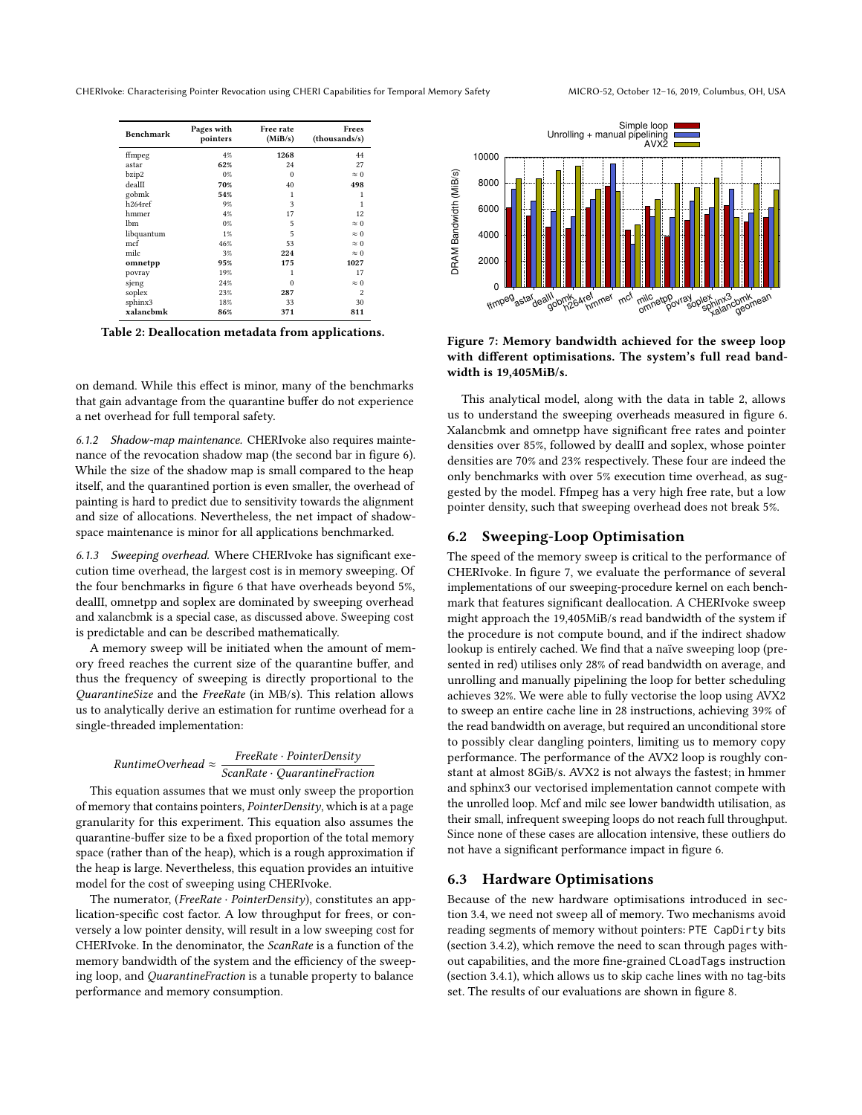<span id="page-8-0"></span>CHERIvoke: Characterising Pointer Revocation using CHERI Capabilities for Temporal Memory Safety MICRO-52, October 12–16, 2019, Columbus, OH, USA

| <b>Benchmark</b>    | Pages with<br>pointers | Free rate<br>(MiB/s) | Frees<br>(thousands/s)  |
|---------------------|------------------------|----------------------|-------------------------|
| ffmpeg              | 4%                     | 1268                 | 44                      |
| astar               | 62%                    | 24                   | 27                      |
| bzip2               | $0\%$                  | $\Omega$             | $\approx 0$             |
| deal∏               | 70%                    | 40                   | 498                     |
| gobmk               | 54%                    | 1                    | 1                       |
| h <sub>264ref</sub> | 9%                     | 3                    | 1                       |
| hmmer               | 4%                     | 17                   | 12                      |
| lbm                 | $0\%$                  | 5                    | $\approx 0$             |
| libquantum          | $1\%$                  | 5                    | $\approx 0$             |
| mcf                 | 46%                    | 53                   | $\approx 0$             |
| milc                | 3%                     | 224                  | $\approx 0$             |
| omnetpp             | 95%                    | 175                  | 1027                    |
| povray              | 19%                    | 1                    | 17                      |
| sjeng               | 24%                    | $\Omega$             | $\approx 0$             |
| soplex              | 23%                    | 287                  | $\overline{\mathbf{c}}$ |
| sphinx3             | 18%                    | 33                   | 30                      |
| xalanchmk           | 86%                    | 371                  | 811                     |

Table 2: Deallocation metadata from applications.

on demand. While this effect is minor, many of the benchmarks that gain advantage from the quarantine buffer do not experience a net overhead for full temporal safety.

<span id="page-8-2"></span>6.1.2 Shadow-map maintenance. CHERIvoke also requires maintenance of the revocation shadow map (the second bar in figure [6\)](#page-7-1). While the size of the shadow map is small compared to the heap itself, and the quarantined portion is even smaller, the overhead of painting is hard to predict due to sensitivity towards the alignment and size of allocations. Nevertheless, the net impact of shadowspace maintenance is minor for all applications benchmarked.

6.1.3 Sweeping overhead. Where CHERIvoke has significant execution time overhead, the largest cost is in memory sweeping. Of the four benchmarks in figure [6](#page-7-1) that have overheads beyond 5%, dealII, omnetpp and soplex are dominated by sweeping overhead and xalancbmk is a special case, as discussed above. Sweeping cost is predictable and can be described mathematically.

A memory sweep will be initiated when the amount of memory freed reaches the current size of the quarantine buffer, and thus the frequency of sweeping is directly proportional to the QuarantineSize and the FreeRate (in MB/s). This relation allows us to analytically derive an estimation for runtime overhead for a single-threaded implementation:

> $RuntimeOverhead \approx \frac{1}{ScanRate \cdot QuarantineFraction}$ FreeRate · PointerDensity

This equation assumes that we must only sweep the proportion of memory that contains pointers, PointerDensity, which is at a page granularity for this experiment. This equation also assumes the quarantine-buffer size to be a fixed proportion of the total memory space (rather than of the heap), which is a rough approximation if the heap is large. Nevertheless, this equation provides an intuitive model for the cost of sweeping using CHERIvoke.

The numerator, (FreeRate · PointerDensity), constitutes an application-specific cost factor. A low throughput for frees, or conversely a low pointer density, will result in a low sweeping cost for CHERIvoke. In the denominator, the ScanRate is a function of the memory bandwidth of the system and the efficiency of the sweeping loop, and QuarantineFraction is a tunable property to balance performance and memory consumption.

<span id="page-8-3"></span>

Figure 7: Memory bandwidth achieved for the sweep loop with different optimisations. The system's full read bandwidth is 19,405MiB/s.

This analytical model, along with the data in table [2,](#page-8-0) allows us to understand the sweeping overheads measured in figure [6.](#page-7-1) Xalancbmk and omnetpp have significant free rates and pointer densities over 85%, followed by dealII and soplex, whose pointer densities are 70% and 23% respectively. These four are indeed the only benchmarks with over 5% execution time overhead, as suggested by the model. Ffmpeg has a very high free rate, but a low pointer density, such that sweeping overhead does not break 5%.

## 6.2 Sweeping-Loop Optimisation

The speed of the memory sweep is critical to the performance of CHERIvoke. In figure [7,](#page-8-3) we evaluate the performance of several implementations of our sweeping-procedure kernel on each benchmark that features significant deallocation. A CHERIvoke sweep might approach the 19,405MiB/s read bandwidth of the system if the procedure is not compute bound, and if the indirect shadow lookup is entirely cached. We find that a naïve sweeping loop (presented in red) utilises only 28% of read bandwidth on average, and unrolling and manually pipelining the loop for better scheduling achieves 32%. We were able to fully vectorise the loop using AVX2 to sweep an entire cache line in 28 instructions, achieving 39% of the read bandwidth on average, but required an unconditional store to possibly clear dangling pointers, limiting us to memory copy performance. The performance of the AVX2 loop is roughly constant at almost 8GiB/s. AVX2 is not always the fastest; in hmmer and sphinx3 our vectorised implementation cannot compete with the unrolled loop. Mcf and milc see lower bandwidth utilisation, as their small, infrequent sweeping loops do not reach full throughput. Since none of these cases are allocation intensive, these outliers do not have a significant performance impact in figure [6.](#page-7-1)

# <span id="page-8-1"></span>6.3 Hardware Optimisations

Because of the new hardware optimisations introduced in section [3.4,](#page-4-3) we need not sweep all of memory. Two mechanisms avoid reading segments of memory without pointers: PTE CapDirty bits (section [3.4.2\)](#page-4-2), which remove the need to scan through pages without capabilities, and the more fine-grained CLoadTags instruction (section [3.4.1\)](#page-4-4), which allows us to skip cache lines with no tag-bits set. The results of our evaluations are shown in figure [8.](#page-9-1)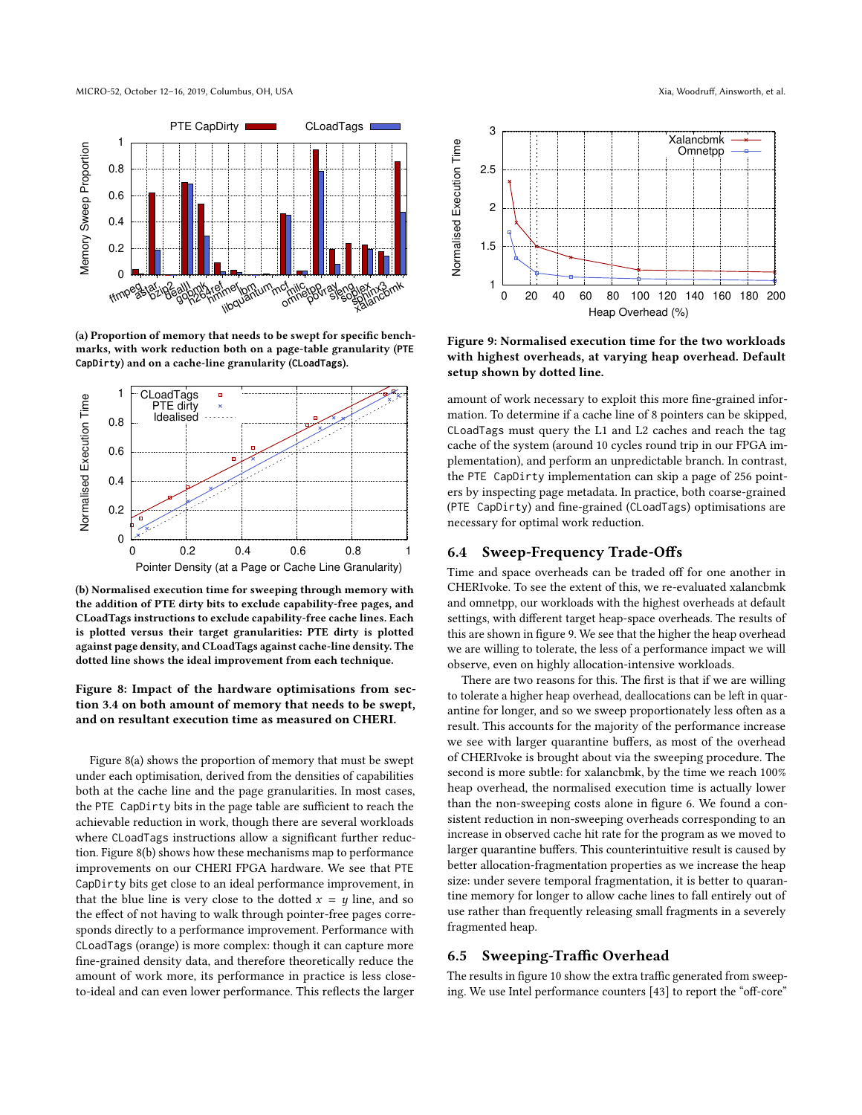<span id="page-9-1"></span>

(a) Proportion of memory that needs to be swept for specific benchmarks, with work reduction both on a page-table granularity (**PTE CapDirty**) and on a cache-line granularity (**CLoadTags**).



(b) Normalised execution time for sweeping through memory with the addition of PTE dirty bits to exclude capability-free pages, and CLoadTags instructions to exclude capability-free cache lines. Each is plotted versus their target granularities: PTE dirty is plotted against page density, and CLoadTags against cache-line density. The dotted line shows the ideal improvement from each technique.

# Figure 8: Impact of the hardware optimisations from section [3.4](#page-4-3) on both amount of memory that needs to be swept, and on resultant execution time as measured on CHERI.

Figure [8\(a\)](#page-9-1) shows the proportion of memory that must be swept under each optimisation, derived from the densities of capabilities both at the cache line and the page granularities. In most cases, the PTE CapDirty bits in the page table are sufficient to reach the achievable reduction in work, though there are several workloads where CLoadTags instructions allow a significant further reduction. Figure [8\(b\)](#page-9-1) shows how these mechanisms map to performance improvements on our CHERI FPGA hardware. We see that PTE CapDirty bits get close to an ideal performance improvement, in that the blue line is very close to the dotted  $x = y$  line, and so the effect of not having to walk through pointer-free pages corresponds directly to a performance improvement. Performance with CLoadTags (orange) is more complex: though it can capture more fine-grained density data, and therefore theoretically reduce the amount of work more, its performance in practice is less closeto-ideal and can even lower performance. This reflects the larger

<span id="page-9-2"></span>

Figure 9: Normalised execution time for the two workloads with highest overheads, at varying heap overhead. Default setup shown by dotted line.

amount of work necessary to exploit this more fine-grained information. To determine if a cache line of 8 pointers can be skipped, CLoadTags must query the L1 and L2 caches and reach the tag cache of the system (around 10 cycles round trip in our FPGA implementation), and perform an unpredictable branch. In contrast, the PTE CapDirty implementation can skip a page of 256 pointers by inspecting page metadata. In practice, both coarse-grained (PTE CapDirty) and fine-grained (CLoadTags) optimisations are necessary for optimal work reduction.

# <span id="page-9-0"></span>6.4 Sweep-Frequency Trade-Offs

Time and space overheads can be traded off for one another in CHERIvoke. To see the extent of this, we re-evaluated xalancbmk and omnetpp, our workloads with the highest overheads at default settings, with different target heap-space overheads. The results of this are shown in figure [9.](#page-9-2) We see that the higher the heap overhead we are willing to tolerate, the less of a performance impact we will observe, even on highly allocation-intensive workloads.

There are two reasons for this. The first is that if we are willing to tolerate a higher heap overhead, deallocations can be left in quarantine for longer, and so we sweep proportionately less often as a result. This accounts for the majority of the performance increase we see with larger quarantine buffers, as most of the overhead of CHERIvoke is brought about via the sweeping procedure. The second is more subtle: for xalancbmk, by the time we reach 100% heap overhead, the normalised execution time is actually lower than the non-sweeping costs alone in figure [6.](#page-7-1) We found a consistent reduction in non-sweeping overheads corresponding to an increase in observed cache hit rate for the program as we moved to larger quarantine buffers. This counterintuitive result is caused by better allocation-fragmentation properties as we increase the heap size: under severe temporal fragmentation, it is better to quarantine memory for longer to allow cache lines to fall entirely out of use rather than frequently releasing small fragments in a severely fragmented heap.

## 6.5 Sweeping-Traffic Overhead

The results in figure [10](#page-10-0) show the extra traffic generated from sweeping. We use Intel performance counters [\[43\]](#page-12-29) to report the "off-core"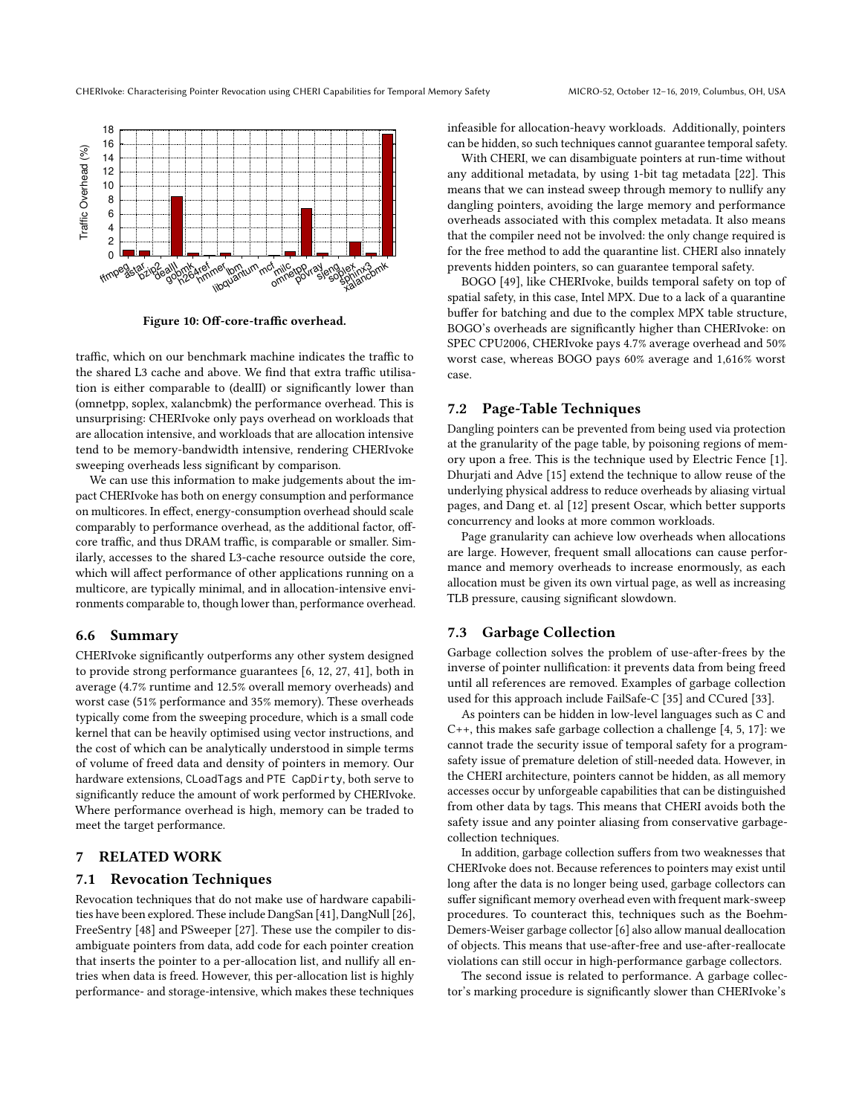<span id="page-10-0"></span>

Figure 10: Off-core-traffic overhead.

traffic, which on our benchmark machine indicates the traffic to the shared L3 cache and above. We find that extra traffic utilisation is either comparable to (dealII) or significantly lower than (omnetpp, soplex, xalancbmk) the performance overhead. This is unsurprising: CHERIvoke only pays overhead on workloads that are allocation intensive, and workloads that are allocation intensive tend to be memory-bandwidth intensive, rendering CHERIvoke sweeping overheads less significant by comparison.

We can use this information to make judgements about the impact CHERIvoke has both on energy consumption and performance on multicores. In effect, energy-consumption overhead should scale comparably to performance overhead, as the additional factor, offcore traffic, and thus DRAM traffic, is comparable or smaller. Similarly, accesses to the shared L3-cache resource outside the core, which will affect performance of other applications running on a multicore, are typically minimal, and in allocation-intensive environments comparable to, though lower than, performance overhead.

## 6.6 Summary

CHERIvoke significantly outperforms any other system designed to provide strong performance guarantees [\[6,](#page-12-26) [12,](#page-12-9) [27,](#page-12-10) [41\]](#page-12-11), both in average (4.7% runtime and 12.5% overall memory overheads) and worst case (51% performance and 35% memory). These overheads typically come from the sweeping procedure, which is a small code kernel that can be heavily optimised using vector instructions, and the cost of which can be analytically understood in simple terms of volume of freed data and density of pointers in memory. Our hardware extensions, CLoadTags and PTE CapDirty, both serve to significantly reduce the amount of work performed by CHERIvoke. Where performance overhead is high, memory can be traded to meet the target performance.

# 7 RELATED WORK

#### 7.1 Revocation Techniques

Revocation techniques that do not make use of hardware capabilities have been explored. These include DangSan [\[41\]](#page-12-11), DangNull [\[26\]](#page-12-4), FreeSentry [\[48\]](#page-12-30) and PSweeper [\[27\]](#page-12-10). These use the compiler to disambiguate pointers from data, add code for each pointer creation that inserts the pointer to a per-allocation list, and nullify all entries when data is freed. However, this per-allocation list is highly performance- and storage-intensive, which makes these techniques

infeasible for allocation-heavy workloads. Additionally, pointers can be hidden, so such techniques cannot guarantee temporal safety.

With CHERI, we can disambiguate pointers at run-time without any additional metadata, by using 1-bit tag metadata [\[22\]](#page-12-17). This means that we can instead sweep through memory to nullify any dangling pointers, avoiding the large memory and performance overheads associated with this complex metadata. It also means that the compiler need not be involved: the only change required is for the free method to add the quarantine list. CHERI also innately prevents hidden pointers, so can guarantee temporal safety.

BOGO [\[49\]](#page-12-31), like CHERIvoke, builds temporal safety on top of spatial safety, in this case, Intel MPX. Due to a lack of a quarantine buffer for batching and due to the complex MPX table structure, BOGO's overheads are significantly higher than CHERIvoke: on SPEC CPU2006, CHERIvoke pays 4.7% average overhead and 50% worst case, whereas BOGO pays 60% average and 1,616% worst case.

# 7.2 Page-Table Techniques

Dangling pointers can be prevented from being used via protection at the granularity of the page table, by poisoning regions of memory upon a free. This is the technique used by Electric Fence [\[1\]](#page-12-32). Dhurjati and Adve [\[15\]](#page-12-33) extend the technique to allow reuse of the underlying physical address to reduce overheads by aliasing virtual pages, and Dang et. al [\[12\]](#page-12-9) present Oscar, which better supports concurrency and looks at more common workloads.

Page granularity can achieve low overheads when allocations are large. However, frequent small allocations can cause performance and memory overheads to increase enormously, as each allocation must be given its own virtual page, as well as increasing TLB pressure, causing significant slowdown.

## 7.3 Garbage Collection

Garbage collection solves the problem of use-after-frees by the inverse of pointer nullification: it prevents data from being freed until all references are removed. Examples of garbage collection used for this approach include FailSafe-C [\[35\]](#page-12-34) and CCured [\[33\]](#page-12-35).

As pointers can be hidden in low-level languages such as C and C++, this makes safe garbage collection a challenge [\[4,](#page-12-36) [5,](#page-12-37) [17\]](#page-12-38): we cannot trade the security issue of temporal safety for a programsafety issue of premature deletion of still-needed data. However, in the CHERI architecture, pointers cannot be hidden, as all memory accesses occur by unforgeable capabilities that can be distinguished from other data by tags. This means that CHERI avoids both the safety issue and any pointer aliasing from conservative garbagecollection techniques.

In addition, garbage collection suffers from two weaknesses that CHERIvoke does not. Because references to pointers may exist until long after the data is no longer being used, garbage collectors can suffer significant memory overhead even with frequent mark-sweep procedures. To counteract this, techniques such as the Boehm-Demers-Weiser garbage collector [\[6\]](#page-12-26) also allow manual deallocation of objects. This means that use-after-free and use-after-reallocate violations can still occur in high-performance garbage collectors.

The second issue is related to performance. A garbage collector's marking procedure is significantly slower than CHERIvoke's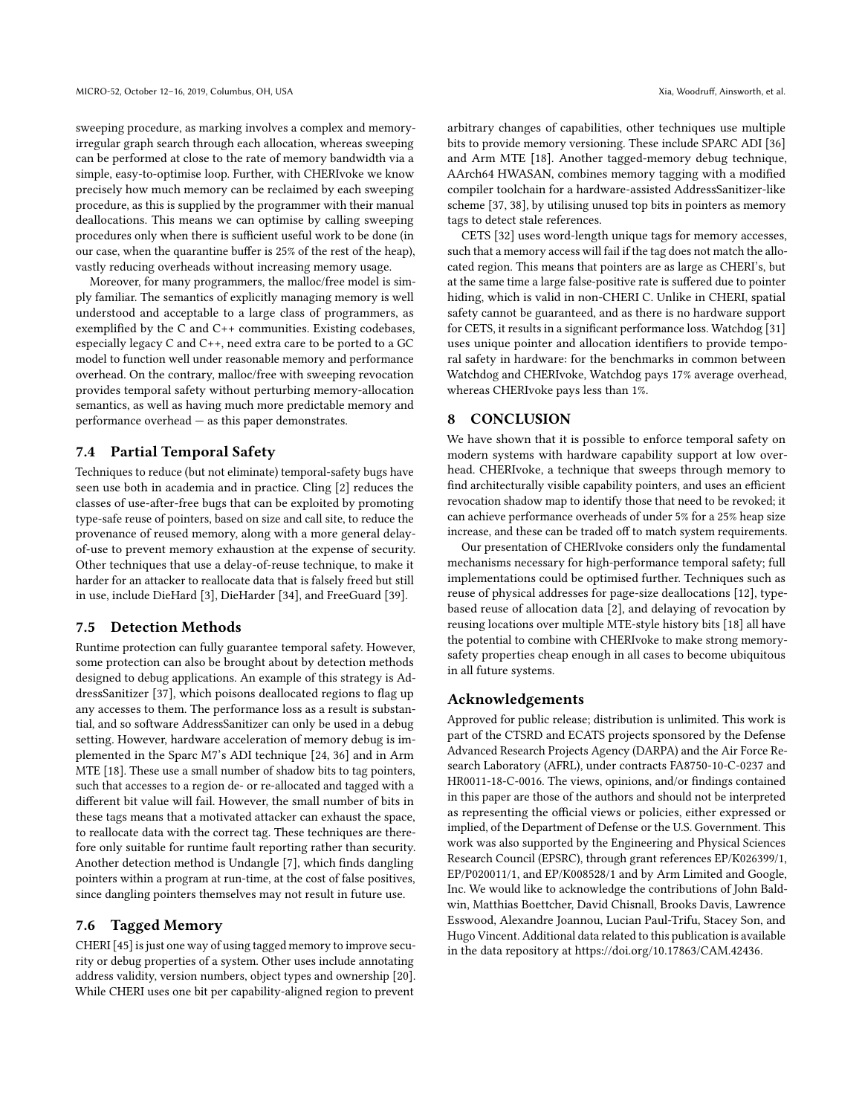sweeping procedure, as marking involves a complex and memoryirregular graph search through each allocation, whereas sweeping can be performed at close to the rate of memory bandwidth via a simple, easy-to-optimise loop. Further, with CHERIvoke we know precisely how much memory can be reclaimed by each sweeping procedure, as this is supplied by the programmer with their manual deallocations. This means we can optimise by calling sweeping procedures only when there is sufficient useful work to be done (in our case, when the quarantine buffer is 25% of the rest of the heap), vastly reducing overheads without increasing memory usage.

Moreover, for many programmers, the malloc/free model is simply familiar. The semantics of explicitly managing memory is well understood and acceptable to a large class of programmers, as exemplified by the C and C++ communities. Existing codebases, especially legacy C and C++, need extra care to be ported to a GC model to function well under reasonable memory and performance overhead. On the contrary, malloc/free with sweeping revocation provides temporal safety without perturbing memory-allocation semantics, as well as having much more predictable memory and performance overhead — as this paper demonstrates.

## 7.4 Partial Temporal Safety

Techniques to reduce (but not eliminate) temporal-safety bugs have seen use both in academia and in practice. Cling [\[2\]](#page-12-39) reduces the classes of use-after-free bugs that can be exploited by promoting type-safe reuse of pointers, based on size and call site, to reduce the provenance of reused memory, along with a more general delayof-use to prevent memory exhaustion at the expense of security. Other techniques that use a delay-of-reuse technique, to make it harder for an attacker to reallocate data that is falsely freed but still in use, include DieHard [\[3\]](#page-12-40), DieHarder [\[34\]](#page-12-41), and FreeGuard [\[39\]](#page-12-14).

# 7.5 Detection Methods

Runtime protection can fully guarantee temporal safety. However, some protection can also be brought about by detection methods designed to debug applications. An example of this strategy is AddressSanitizer [\[37\]](#page-12-42), which poisons deallocated regions to flag up any accesses to them. The performance loss as a result is substantial, and so software AddressSanitizer can only be used in a debug setting. However, hardware acceleration of memory debug is implemented in the Sparc M7's ADI technique [\[24,](#page-12-43) [36\]](#page-12-44) and in Arm MTE [\[18\]](#page-12-45). These use a small number of shadow bits to tag pointers, such that accesses to a region de- or re-allocated and tagged with a different bit value will fail. However, the small number of bits in these tags means that a motivated attacker can exhaust the space, to reallocate data with the correct tag. These techniques are therefore only suitable for runtime fault reporting rather than security. Another detection method is Undangle [\[7\]](#page-12-25), which finds dangling pointers within a program at run-time, at the cost of false positives, since dangling pointers themselves may not result in future use.

# 7.6 Tagged Memory

CHERI [\[45\]](#page-12-7) is just one way of using tagged memory to improve security or debug properties of a system. Other uses include annotating address validity, version numbers, object types and ownership [\[20\]](#page-12-46). While CHERI uses one bit per capability-aligned region to prevent

arbitrary changes of capabilities, other techniques use multiple bits to provide memory versioning. These include SPARC ADI [\[36\]](#page-12-44) and Arm MTE [\[18\]](#page-12-45). Another tagged-memory debug technique, AArch64 HWASAN, combines memory tagging with a modified compiler toolchain for a hardware-assisted AddressSanitizer-like scheme [\[37,](#page-12-42) [38\]](#page-12-47), by utilising unused top bits in pointers as memory tags to detect stale references.

CETS [\[32\]](#page-12-48) uses word-length unique tags for memory accesses, such that a memory access will fail if the tag does not match the allocated region. This means that pointers are as large as CHERI's, but at the same time a large false-positive rate is suffered due to pointer hiding, which is valid in non-CHERI C. Unlike in CHERI, spatial safety cannot be guaranteed, and as there is no hardware support for CETS, it results in a significant performance loss. Watchdog [\[31\]](#page-12-49) uses unique pointer and allocation identifiers to provide temporal safety in hardware: for the benchmarks in common between Watchdog and CHERIvoke, Watchdog pays 17% average overhead, whereas CHERIvoke pays less than 1%.

## 8 CONCLUSION

We have shown that it is possible to enforce temporal safety on modern systems with hardware capability support at low overhead. CHERIvoke, a technique that sweeps through memory to find architecturally visible capability pointers, and uses an efficient revocation shadow map to identify those that need to be revoked; it can achieve performance overheads of under 5% for a 25% heap size increase, and these can be traded off to match system requirements.

Our presentation of CHERIvoke considers only the fundamental mechanisms necessary for high-performance temporal safety; full implementations could be optimised further. Techniques such as reuse of physical addresses for page-size deallocations [\[12\]](#page-12-9), typebased reuse of allocation data [\[2\]](#page-12-39), and delaying of revocation by reusing locations over multiple MTE-style history bits [\[18\]](#page-12-45) all have the potential to combine with CHERIvoke to make strong memorysafety properties cheap enough in all cases to become ubiquitous in all future systems.

# Acknowledgements

Approved for public release; distribution is unlimited. This work is part of the CTSRD and ECATS projects sponsored by the Defense Advanced Research Projects Agency (DARPA) and the Air Force Research Laboratory (AFRL), under contracts FA8750-10-C-0237 and HR0011-18-C-0016. The views, opinions, and/or findings contained in this paper are those of the authors and should not be interpreted as representing the official views or policies, either expressed or implied, of the Department of Defense or the U.S. Government. This work was also supported by the Engineering and Physical Sciences Research Council (EPSRC), through grant references EP/K026399/1, EP/P020011/1, and EP/K008528/1 and by Arm Limited and Google, Inc. We would like to acknowledge the contributions of John Baldwin, Matthias Boettcher, David Chisnall, Brooks Davis, Lawrence Esswood, Alexandre Joannou, Lucian Paul-Trifu, Stacey Son, and Hugo Vincent. Additional data related to this publication is available in the data repository at [https://doi.org/10.17863/CAM.42436.](https://doi.org/10.17863/CAM.42436)